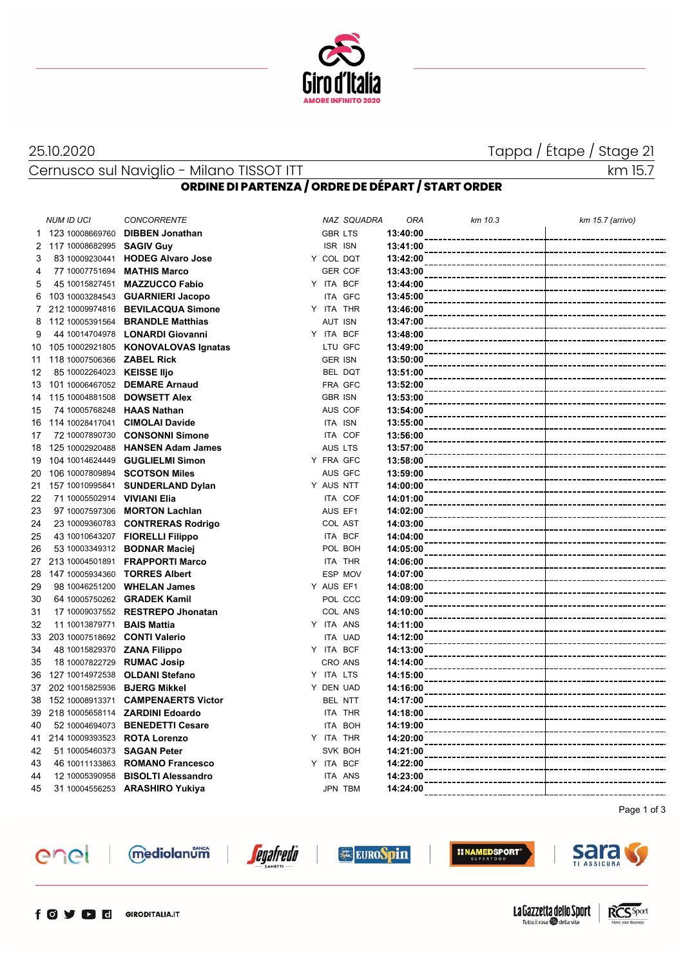

Cernusco sul Naviglio - Milano TISSOT ITT and the control of the control of the control of the control of the control of the control of the control of the control of the control of the control of the control of the control

# 25.10.2020 Tappa / Étape / Stage 21

## **ORDINE DI PARTENZA / ORDRE DE DÉPART / START ORDER**

|    | <b>NUM ID UCI</b>                    | <b>CONCORRENTE</b>                      |                | NAZ SQUADRA    | <b>ORA</b> | km 10.3             | km 15.7 (arrivo) |
|----|--------------------------------------|-----------------------------------------|----------------|----------------|------------|---------------------|------------------|
| 1. | 123 10008669760                      | <b>DIBBEN Jonathan</b>                  | <b>GBR LTS</b> |                | 13:40:00   | ------------        |                  |
|    | 2 117 10008682995 SAGIV Guy          |                                         | <b>ISR ISN</b> |                | 13:41:00   |                     |                  |
| 3  | 83 10009230441                       | <b>HODEG Alvaro Jose</b>                | Y COL DQT      |                | 13:42:00   |                     |                  |
| 4  | 77 10007751694                       | <b>MATHIS Marco</b>                     |                | <b>GER COF</b> | 13:43:00   |                     |                  |
| 5  | 45 10015827451                       | <b>MAZZUCCO Fabio</b>                   | Y ITA BCF      |                | 13:44:00   |                     |                  |
| 6  |                                      | 103 10003284543 <b>GUARNIERI Jacopo</b> |                | <b>ITA GFC</b> | 13:45:00   |                     |                  |
| 7  |                                      | 212 10009974816 BEVILACQUA Simone       | Y ITA THR      |                | 13:46:00   |                     |                  |
| 8  | 112 10005391564                      | <b>BRANDLE Matthias</b>                 | AUT ISN        |                | 13:47:00   |                     |                  |
| 9  |                                      | 44 10014704978 LONARDI Giovanni         | Y ITA BCF      |                | 13:48:00   |                     |                  |
| 10 |                                      | 105 10002921805 KONOVALOVAS Ignatas     |                | LTU GFC        | 13:49:00   |                     |                  |
| 11 | 118 10007506366 ZABEL Rick           |                                         | <b>GER ISN</b> |                | 13:50:00   |                     |                  |
| 12 | 85 10002264023 KEISSE Iljo           |                                         |                | BEL DQT        | 13:51:00   |                     |                  |
| 13 |                                      | 101 10006467052 DEMARE Arnaud           |                | FRA GFC        | 13:52:00   |                     |                  |
| 14 | 115 10004881508                      | <b>DOWSETT Alex</b>                     | <b>GBR ISN</b> |                | 13:53:00   |                     |                  |
| 15 | 74 10005768248                       | <b>HAAS Nathan</b>                      |                | AUS COF        | 13:54:00   |                     |                  |
| 16 | 114 10028417041                      | <b>CIMOLAI Davide</b>                   | ITA ISN        |                | 13:55:00   |                     |                  |
| 17 | 72 10007890730                       | <b>CONSONNI Simone</b>                  |                | ITA COF        | 13:56:00   |                     |                  |
| 18 | 125 10002920488                      | <b>HANSEN Adam James</b>                | AUS LTS        |                | 13:57:00   |                     |                  |
| 19 | 104 10014624449                      | <b>GUGLIELMI Simon</b>                  | Y FRA GFC      |                | 13:58:00   |                     |                  |
| 20 | 106 10007809894                      | <b>SCOTSON Miles</b>                    |                | AUS GFC        | 13:59:00   |                     |                  |
| 21 | 157 10010995841                      | <b>SUNDERLAND Dylan</b>                 | Y AUS NTT      |                | 14:00:00   |                     |                  |
| 22 | 71 10005502914                       | <b>VIVIANI Elia</b>                     |                | ITA COF        | 14:01:00   |                     |                  |
| 23 | 97 10007597306                       | <b>MORTON Lachlan</b>                   | AUS EF1        |                | 14:02:00   |                     |                  |
| 24 |                                      | 23 10009360783 CONTRERAS Rodrigo        |                | COL AST        | 14:03:00   |                     |                  |
| 25 |                                      | 43 10010643207 FIORELLI Filippo         |                | ITA BCF        | 14:04:00   |                     |                  |
| 26 |                                      | 53 10003349312 BODNAR Maciej            |                | POL BOH        | 14:05:00   |                     |                  |
| 27 | 213 10004501891                      | <b>FRAPPORTI Marco</b>                  |                | ITA THR        | 14:06:00   |                     |                  |
| 28 | 147 10005934360 <b>TORRES Albert</b> |                                         |                | ESP MOV        | 14:07:00   |                     |                  |
| 29 | 98 10046251200                       | <b>WHELAN James</b>                     | Y AUS EF1      |                | 14:08:00   |                     |                  |
| 30 |                                      | 64 10005750262 GRADEK Kamil             |                | POL CCC        | 14:09:00   |                     |                  |
| 31 | 17 10009037552                       | <b>RESTREPO Jhonatan</b>                |                | COL ANS        | 14:10:00   |                     |                  |
| 32 | 11 10013879771                       | <b>BAIS Mattia</b>                      | Y ITA ANS      |                | 14:11:00   |                     |                  |
| 33 | 203 10007518692 CONTI Valerio        |                                         |                | ITA UAD        | 14:12:00   |                     |                  |
| 34 | 48 10015829370 <b>ZANA Filippo</b>   |                                         | Y ITA BCF      |                | 14:13:00   |                     |                  |
| 35 | 18 10007822729 RUMAC Josip           |                                         |                | CRO ANS        | 14:14:00   |                     |                  |
| 36 | 127 10014972538                      | <b>OLDANI Stefano</b>                   | Y ITA LTS      |                | 14:15:00   |                     |                  |
| 37 | 202 10015825936                      | <b>BJERG Mikkel</b>                     | Y DEN UAD      |                | 14:16:00   |                     |                  |
| 38 | 152 10008913371                      | <b>CAMPENAERTS Victor</b>               |                | BEL NTT        | 14:17:00   |                     |                  |
| 39 | 218 10005658114                      | <b>ZARDINI Edoardo</b>                  |                | ITA THR        | 14:18:00   |                     |                  |
| 40 |                                      | 52 10004694073 BENEDETTI Cesare         |                | ITA BOH        | 14:19:00   |                     |                  |
| 41 | 214 10009393523 ROTA Lorenzo         |                                         | Y ITA THR      |                | 14:20:00   |                     |                  |
| 42 | 51 10005460373 SAGAN Peter           |                                         |                | SVK BOH        | 14:21:00   |                     |                  |
| 43 | 46 10011133863                       | <b>ROMANO Francesco</b>                 | Y ITA BCF      |                | 14:22:00   |                     |                  |
| 44 | 12 10005390958                       | <b>BISOLTI Alessandro</b>               |                | ITA ANS        | 14:23:00   |                     |                  |
| 45 |                                      | 31 10004556253 ARASHIRO Yukiya          |                | JPN TBM        | 14:24:00   | ------------------- |                  |

Page 1 of 3





*<u>egafredo</u>* 

**EUROSpin** 







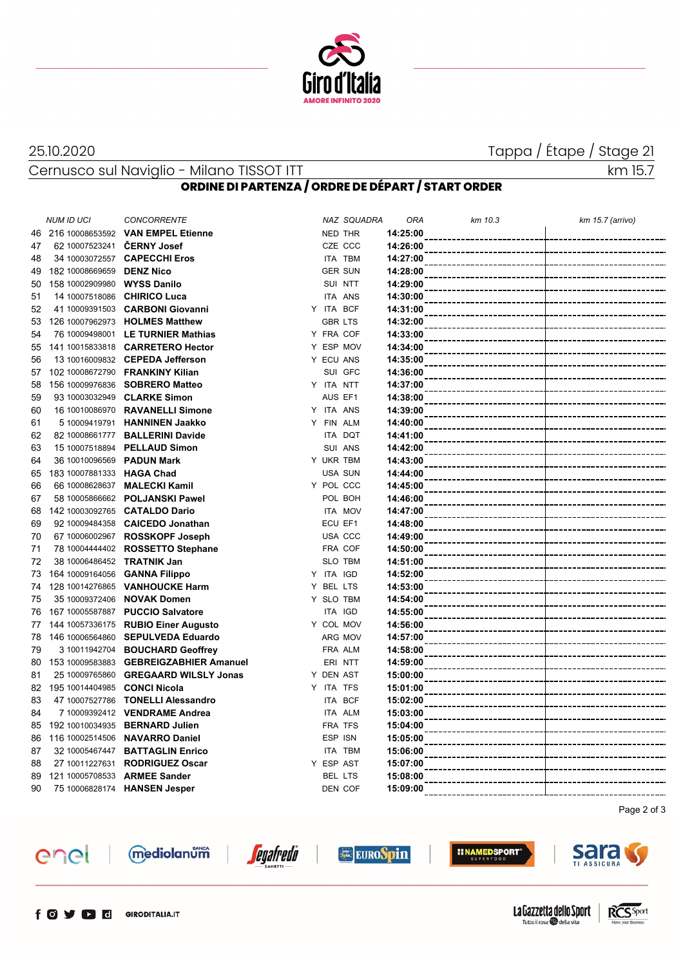

25.10.2020 Tappa / Étape / Stage 21

Cernusco sul Naviglio - Milano TISSOT ITT and the control of the control of the control of the control of the control of the control of the control of the control of the control of the control of the control of the control

## **ORDINE DI PARTENZA / ORDRE DE DÉPART / START ORDER**

|    | <b>NUM ID UCI</b>             | <b>CONCORRENTE</b>                  |                | NAZ SQUADRA    | ORA      | km 10.3         | km 15.7 (arrivo) |
|----|-------------------------------|-------------------------------------|----------------|----------------|----------|-----------------|------------------|
| 46 |                               | 216 10008653592 VAN EMPEL Etienne   |                | NED THR        | 14:25:00 | .               |                  |
| 47 | 62 10007523241 CERNY Josef    |                                     |                | CZE CCC        | 14:26:00 |                 |                  |
| 48 |                               | 34 10003072557 CAPECCHI Eros        |                | ITA TBM        | 14:27:00 |                 |                  |
| 49 | 182 10008669659               | <b>DENZ Nico</b>                    |                | <b>GER SUN</b> | 14:28:00 |                 |                  |
| 50 | 158 10002909980               | <b>WYSS Danilo</b>                  |                | SUI NTT        | 14:29:00 |                 |                  |
| 51 | 14 10007518086                | <b>CHIRICO Luca</b>                 |                | ITA ANS        | 14:30:00 |                 |                  |
| 52 | 41 10009391503                | <b>CARBONI Giovanni</b>             | Y ITA BCF      |                | 14:31:00 |                 |                  |
| 53 | 126 10007962973               | <b>HOLMES Matthew</b>               | <b>GBR LTS</b> |                | 14:32:00 |                 |                  |
| 54 |                               | 76 10009498001 LE TURNIER Mathias   |                | Y FRA COF      | 14:33:00 |                 |                  |
| 55 |                               | 141 10015833818 CARRETERO Hector    |                | Y ESP MOV      | 14:34:00 |                 |                  |
| 56 |                               | 13 10016009832 CEPEDA Jefferson     |                | Y ECU ANS      | 14:35:00 |                 |                  |
| 57 | 102 10008672790               | <b>FRANKINY Kilian</b>              |                | SUI GFC        | 14:36:00 |                 |                  |
| 58 | 156 10009976836               | <b>SOBRERO Matteo</b>               | Y ITA NTT      |                | 14:37:00 |                 |                  |
| 59 | 93 10003032949                | <b>CLARKE Simon</b>                 | AUS EF1        |                | 14:38:00 |                 |                  |
| 60 | 16 10010086970                | <b>RAVANELLI Simone</b>             |                | Y ITA ANS      | 14:39:00 |                 |                  |
| 61 |                               | 5 10009419791 HANNINEN Jaakko       |                | Y FIN ALM      | 14:40:00 |                 |                  |
| 62 |                               | 82 10008661777 BALLERINI Davide     |                | ITA DQT        | 14:41:00 |                 |                  |
| 63 |                               | 15 10007518894 PELLAUD Simon        |                | SUI ANS        | 14:42:00 |                 |                  |
| 64 | 36 10010096569                | <b>PADUN Mark</b>                   |                | Y UKR TBM      | 14:43:00 |                 |                  |
| 65 | 183 10007881333 HAGA Chad     |                                     |                | <b>USA SUN</b> | 14:44:00 |                 |                  |
| 66 |                               | 66 10008628637 MALECKI Kamil        |                | Y POL CCC      | 14:45:00 |                 |                  |
| 67 |                               | 58 10005866662 POLJANSKI Pawel      |                | POL BOH        | 14:46:00 |                 |                  |
| 68 |                               | 142 10003092765 CATALDO Dario       |                | ITA MOV        | 14:47:00 |                 |                  |
| 69 |                               | 92 10009484358 CAICEDO Jonathan     | ECU EF1        |                | 14:48:00 |                 |                  |
| 70 | 67 10006002967                | <b>ROSSKOPF Joseph</b>              |                | USA CCC        | 14:49:00 |                 |                  |
| 71 |                               | 78 10004444402 ROSSETTO Stephane    |                | FRA COF        | 14:50:00 |                 |                  |
| 72 | 38 10006486452 TRATNIK Jan    |                                     |                | SLO TBM        | 14:51:00 |                 |                  |
| 73 | 164 10009164056 GANNA Filippo |                                     | Y ITA IGD      |                | 14:52:00 |                 |                  |
| 74 | 128 10014276865               | <b>VANHOUCKE Harm</b>               | Y BEL LTS      |                | 14:53:00 |                 |                  |
| 75 | 35 10009372406                | <b>NOVAK Domen</b>                  |                | Y SLO TBM      | 14:54:00 |                 |                  |
| 76 |                               | 167 10005587887 PUCCIO Salvatore    |                | ITA IGD        | 14:55:00 |                 |                  |
| 77 |                               | 144 10057336175 RUBIO Einer Augusto |                | Y COL MOV      | 14:56:00 |                 |                  |
| 78 |                               | 146 10006564860 SEPULVEDA Eduardo   |                | ARG MOV        | 14:57:00 |                 |                  |
| 79 | 3 10011942704                 | <b>BOUCHARD Geoffrey</b>            |                | FRA ALM        | 14:58:00 |                 |                  |
| 80 | 153 10009583883               | <b>GEBREIGZABHIER Amanuel</b>       |                | ERI NTT        | 14:59:00 |                 |                  |
| 81 | 25 10009765860                | <b>GREGAARD WILSLY Jonas</b>        | Y DEN AST      |                | 15:00:00 |                 |                  |
| 82 | 195 10014404985               | <b>CONCI Nicola</b>                 | Y ITA TFS      |                | 15:01:00 |                 |                  |
| 83 | 47 10007527786                | <b>TONELLI Alessandro</b>           |                | ITA BCF        | 15:02:00 |                 |                  |
| 84 |                               | 7 10009392412 VENDRAME Andrea       |                | ITA ALM        | 15:03:00 |                 |                  |
| 85 |                               | 192 10010034935 BERNARD Julien      | FRA TFS        |                | 15:04:00 |                 |                  |
| 86 | 116 10002514506               | <b>NAVARRO Daniel</b>               | ESP ISN        |                | 15:05:00 |                 |                  |
| 87 |                               | 32 10005467447 BATTAGLIN Enrico     |                | ITA TBM        | 15:06:00 |                 |                  |
| 88 | 27 10011227631                | <b>RODRIGUEZ Oscar</b>              | Y ESP AST      |                | 15:07:00 |                 |                  |
| 89 | 121 10005708533               | <b>ARMEE Sander</b>                 | BEL LTS        |                | 15:08:00 |                 |                  |
| 90 |                               | 75 10006828174 HANSEN Jesper        |                | DEN COF        | 15:09:00 | --------------- |                  |





mediolanum



**EUROSpin**